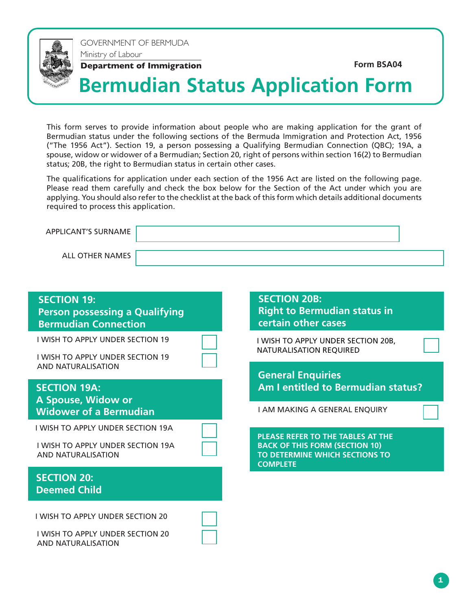

GOVERNMENT OF BERMUDA Ministry of Labour

**Department of Immigration**<br> **Example 26 Terminology Advantagement of Immigration** 

# **Bermudian Status Application Form**

This form serves to provide information about people who are making application for the grant of Bermudian status under the following sections of the Bermuda Immigration and Protection Act, 1956 ("The 1956 Act"). Section 19, a person possessing a Qualifying Bermudian Connection (QBC); 19A, a spouse, widow or widower of a Bermudian; Section 20, right of persons within section 16(2) to Bermudian status; 20B, the right to Bermudian status in certain other cases.

The qualifications for application under each section of the 1956 Act are listed on the following page. Please read them carefully and check the box below for the Section of the Act under which you are applying. You should also refer to the checklist at the back of this form which details additional documents required to process this application.

| <b>APPLICANT'S SURNAME</b> |  |
|----------------------------|--|
| ALL OTHER NAMES            |  |

| <b>SECTION 19:</b><br><b>Person possessing a Qualifying</b><br><b>Bermudian Connection</b>                      | <b>SECTION 20B:</b><br><b>Right to Bermudian status in</b><br>certain other cases                                                      |
|-----------------------------------------------------------------------------------------------------------------|----------------------------------------------------------------------------------------------------------------------------------------|
| <b>I WISH TO APPLY UNDER SECTION 19</b><br><b>I WISH TO APPLY UNDER SECTION 19</b><br><b>AND NATURALISATION</b> | I WISH TO APPLY UNDER SECTION 20B,<br><b>NATURALISATION REQUIRED</b>                                                                   |
| <b>SECTION 19A:</b><br>A Spouse, Widow or<br><b>Widower of a Bermudian</b>                                      | <b>General Enquiries</b><br>Am I entitled to Bermudian status?<br>I AM MAKING A GENERAL ENQUIRY                                        |
| I WISH TO APPLY UNDER SECTION 19A<br>I WISH TO APPLY UNDER SECTION 19A<br><b>AND NATURALISATION</b>             | <b>PLEASE REFER TO THE TABLES AT THE</b><br><b>BACK OF THIS FORM (SECTION 10)</b><br>TO DETERMINE WHICH SECTIONS TO<br><b>COMPLETE</b> |
| <b>SECTION 20:</b><br><b>Deemed Child</b>                                                                       |                                                                                                                                        |
| <b>I WISH TO APPLY UNDER SECTION 20</b><br><b>I WISH TO APPLY UNDER SECTION 20</b><br><b>AND NATURALISATION</b> |                                                                                                                                        |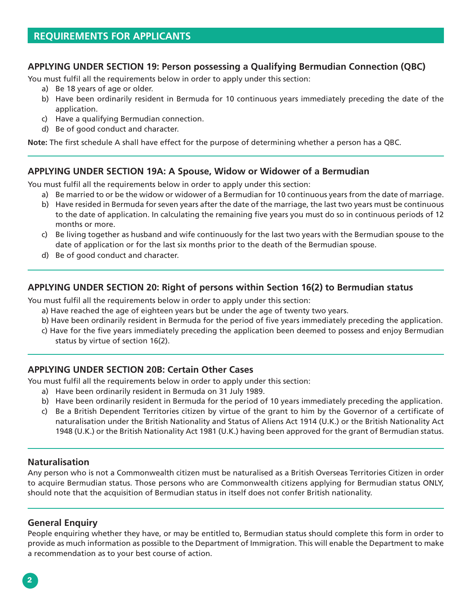### **APPLYING UNDER SECTION 19: Person possessing a Qualifying Bermudian Connection (QBC)**

You must fulfil all the requirements below in order to apply under this section:

- a) Be 18 years of age or older.
- b) Have been ordinarily resident in Bermuda for 10 continuous years immediately preceding the date of the application.
- c) Have a qualifying Bermudian connection.
- d) Be of good conduct and character.

**Note:** The first schedule A shall have effect for the purpose of determining whether a person has a QBC.

### **APPLYING UNDER SECTION 19A: A Spouse, Widow or Widower of a Bermudian**

You must fulfil all the requirements below in order to apply under this section:

- a) Be married to or be the widow or widower of a Bermudian for 10 continuous years from the date of marriage.
- b) Have resided in Bermuda for seven years after the date of the marriage, the last two years must be continuous to the date of application. In calculating the remaining five years you must do so in continuous periods of 12 months or more.
- c) Be living together as husband and wife continuously for the last two years with the Bermudian spouse to the date of application or for the last six months prior to the death of the Bermudian spouse.
- d) Be of good conduct and character.

### **APPLYING UNDER SECTION 20: Right of persons within Section 16(2) to Bermudian status**

You must fulfil all the requirements below in order to apply under this section:

- a) Have reached the age of eighteen years but be under the age of twenty two years.
- b) Have been ordinarily resident in Bermuda for the period of five years immediately preceding the application.
- c) Have for the five years immediately preceding the application been deemed to possess and enjoy Bermudian status by virtue of section 16(2).

### **APPLYING UNDER SECTION 20B: Certain Other Cases**

You must fulfil all the requirements below in order to apply under this section:

- a) Have been ordinarily resident in Bermuda on 31 July 1989.
- b) Have been ordinarily resident in Bermuda for the period of 10 years immediately preceding the application.
- c) Be a British Dependent Territories citizen by virtue of the grant to him by the Governor of a certificate of naturalisation under the British Nationality and Status of Aliens Act 1914 (U.K.) or the British Nationality Act 1948 (U.K.) or the British Nationality Act 1981 (U.K.) having been approved for the grant of Bermudian status.

#### **Naturalisation**

Any person who is not a Commonwealth citizen must be naturalised as a British Overseas Territories Citizen in order to acquire Bermudian status. Those persons who are Commonwealth citizens applying for Bermudian status ONLY, should note that the acquisition of Bermudian status in itself does not confer British nationality.

### **General Enquiry**

People enquiring whether they have, or may be entitled to, Bermudian status should complete this form in order to provide as much information as possible to the Department of Immigration. This will enable the Department to make a recommendation as to your best course of action.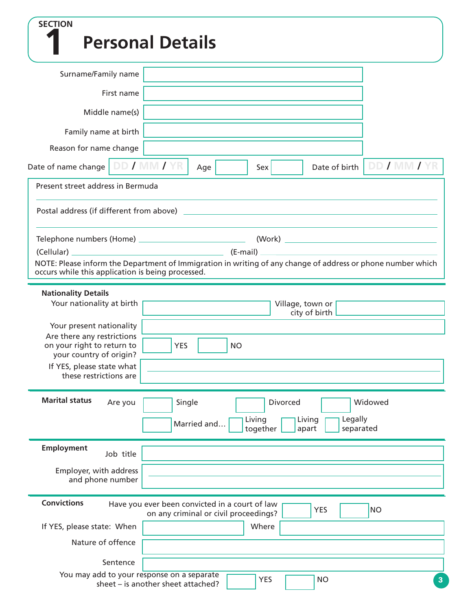| <b>SECTION</b>                                                                                                                                                   |                                                                                         |             |           |                    |                                                                                                                     |                |
|------------------------------------------------------------------------------------------------------------------------------------------------------------------|-----------------------------------------------------------------------------------------|-------------|-----------|--------------------|---------------------------------------------------------------------------------------------------------------------|----------------|
| <b>Personal Details</b>                                                                                                                                          |                                                                                         |             |           |                    |                                                                                                                     |                |
| Surname/Family name                                                                                                                                              |                                                                                         |             |           |                    |                                                                                                                     |                |
| First name                                                                                                                                                       |                                                                                         |             |           |                    |                                                                                                                     |                |
| Middle name(s)                                                                                                                                                   |                                                                                         |             |           |                    |                                                                                                                     |                |
| Family name at birth                                                                                                                                             |                                                                                         |             |           |                    |                                                                                                                     |                |
| Reason for name change                                                                                                                                           |                                                                                         |             |           |                    |                                                                                                                     |                |
| Date of name change   DD / MM / YR                                                                                                                               |                                                                                         | Age         |           | Sex                | Date of birth                                                                                                       | DD / MM / YR   |
| Present street address in Bermuda                                                                                                                                |                                                                                         |             |           |                    |                                                                                                                     |                |
| Postal address (if different from above)                                                                                                                         |                                                                                         |             |           |                    | <u> 1980 - Jan Barbara, martin da basar da basar da basar da basar da basar da basar da basar da basar da basar</u> |                |
|                                                                                                                                                                  |                                                                                         |             |           |                    |                                                                                                                     |                |
| NOTE: Please inform the Department of Immigration in writing of any change of address or phone number which<br>occurs while this application is being processed. |                                                                                         |             |           |                    |                                                                                                                     |                |
| <b>Nationality Details</b><br>Your nationality at birth                                                                                                          |                                                                                         |             |           |                    | Village, town or<br>city of birth                                                                                   |                |
| Your present nationality<br>Are there any restrictions                                                                                                           |                                                                                         |             |           |                    |                                                                                                                     |                |
| on your right to return to<br>your country of origin?                                                                                                            | <b>YES</b>                                                                              |             | <b>NO</b> |                    |                                                                                                                     |                |
| If YES, please state what<br>these restrictions are                                                                                                              |                                                                                         |             |           |                    |                                                                                                                     |                |
| <b>Marital status</b><br>Are you                                                                                                                                 | Single                                                                                  |             |           | Divorced           |                                                                                                                     | Widowed        |
|                                                                                                                                                                  |                                                                                         | Married and |           | Living<br>together | Legally<br>Living<br>separated<br>apart                                                                             |                |
| <b>Employment</b><br>Job title                                                                                                                                   |                                                                                         |             |           |                    |                                                                                                                     |                |
| Employer, with address<br>and phone number                                                                                                                       |                                                                                         |             |           |                    |                                                                                                                     |                |
| <b>Convictions</b>                                                                                                                                               | Have you ever been convicted in a court of law<br>on any criminal or civil proceedings? |             |           |                    | <b>YES</b>                                                                                                          | <b>NO</b>      |
| If YES, please state: When                                                                                                                                       |                                                                                         |             |           | Where              |                                                                                                                     |                |
| Nature of offence                                                                                                                                                |                                                                                         |             |           |                    |                                                                                                                     |                |
| Sentence                                                                                                                                                         |                                                                                         |             |           |                    |                                                                                                                     |                |
| You may add to your response on a separate<br>sheet - is another sheet attached?                                                                                 |                                                                                         |             |           | <b>YES</b>         | <b>NO</b>                                                                                                           | 3 <sup>°</sup> |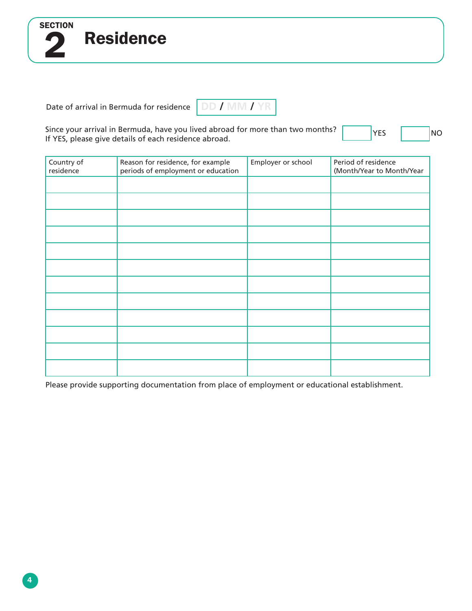Date of arrival in Bermuda for residence

Residence

2

**SECTION** 

**DD / MM / YR**

Since your arrival in Bermuda, have you lived abroad for more than two months? Since your arrival in Bermuda, have you lived abroad for more than two months?<br>If YES, please give details of each residence abroad.

| Country of<br>residence | Reason for residence, for example<br>periods of employment or education | Employer or school | Period of residence<br>(Month/Year to Month/Year |
|-------------------------|-------------------------------------------------------------------------|--------------------|--------------------------------------------------|
|                         |                                                                         |                    |                                                  |
|                         |                                                                         |                    |                                                  |
|                         |                                                                         |                    |                                                  |
|                         |                                                                         |                    |                                                  |
|                         |                                                                         |                    |                                                  |
|                         |                                                                         |                    |                                                  |
|                         |                                                                         |                    |                                                  |
|                         |                                                                         |                    |                                                  |
|                         |                                                                         |                    |                                                  |
|                         |                                                                         |                    |                                                  |
|                         |                                                                         |                    |                                                  |
|                         |                                                                         |                    |                                                  |

Please provide supporting documentation from place of employment or educational establishment.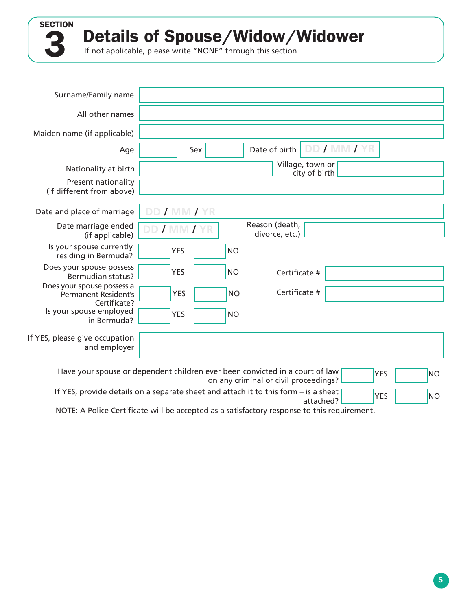Details of Spouse/Widow/Widower

If not applicable, please write "NONE" through this section

3

**SECTION** 

| Surname/Family name                                                       |                                                                                                                                                  |
|---------------------------------------------------------------------------|--------------------------------------------------------------------------------------------------------------------------------------------------|
| All other names                                                           |                                                                                                                                                  |
| Maiden name (if applicable)                                               |                                                                                                                                                  |
| Age                                                                       | DD / MM / YR<br>Date of birth<br>Sex                                                                                                             |
| Nationality at birth                                                      | Village, town or<br>city of birth                                                                                                                |
| Present nationality<br>(if different from above)                          |                                                                                                                                                  |
| Date and place of marriage                                                | DD / MM / YR                                                                                                                                     |
| Date marriage ended<br>(if applicable)                                    | Reason (death,<br>DD / MM / YR<br>divorce, etc.)                                                                                                 |
| Is your spouse currently<br>residing in Bermuda?                          | <b>YES</b><br><b>NO</b>                                                                                                                          |
| Does your spouse possess<br><b>Bermudian status?</b>                      | <b>YES</b><br><b>NO</b><br>Certificate #                                                                                                         |
| Does your spouse possess a<br><b>Permanent Resident's</b><br>Certificate? | Certificate #<br><b>NO</b><br><b>YES</b>                                                                                                         |
| Is your spouse employed<br>in Bermuda?                                    | <b>YES</b><br><b>NO</b>                                                                                                                          |
| If YES, please give occupation<br>and employer                            |                                                                                                                                                  |
| .                                                                         | Have your spouse or dependent children ever been convicted in a court of law<br><b>YES</b><br><b>NO</b><br>on any criminal or civil proceedings? |

If YES, provide details on a separate sheet and attach it to this form - is a sheet  $\sqrt{ }$ attached?

NOTE: A Police Certificate will be accepted as a satisfactory response to this requirement.

 $YES$  NO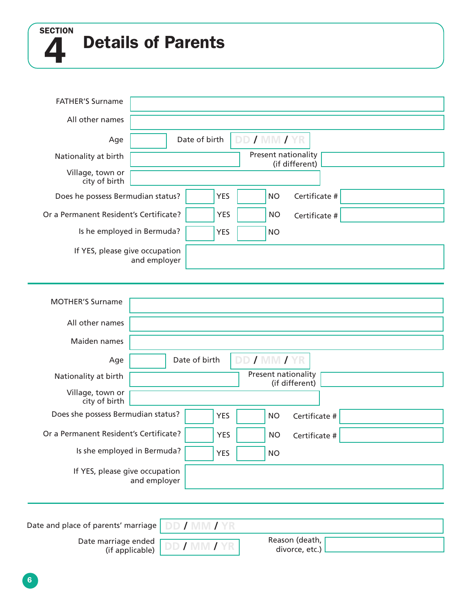**SECTION** 

4

# Details of Parents

| <b>FATHER'S Surname</b>                |                                                       |
|----------------------------------------|-------------------------------------------------------|
| All other names                        |                                                       |
| Age                                    | DD / MM / YR<br>Date of birth                         |
| Nationality at birth                   | Present nationality<br>(if different)                 |
| Village, town or<br>city of birth      |                                                       |
| Does he possess Bermudian status?      | <b>YES</b><br>Certificate #<br><b>NO</b>              |
| Or a Permanent Resident's Certificate? | <b>YES</b><br><b>NO</b><br>Certificate #              |
|                                        | Is he employed in Bermuda?<br><b>YES</b><br><b>NO</b> |
| If YES, please give occupation         | and employer                                          |
| <b>MOTHER'S Surname</b>                |                                                       |
| All other names                        |                                                       |
| Maiden names                           |                                                       |
| Age                                    | DD / MM / YR<br>Date of birth                         |
| Nationality at birth                   | Present nationality<br>(if different)                 |
| Village, town or<br>city of birth      |                                                       |
| Does she possess Bermudian status?     | <b>YES</b><br><b>NO</b><br>Certificate #              |
| Or a Permanent Resident's Certificate? | <b>YES</b><br><b>NO</b><br>Certificate #              |
| Is she employed in Bermuda?            | <b>YES</b><br><b>NO</b>                               |
| If YES, please give occupation         | and employer                                          |
|                                        |                                                       |
|                                        | Date and place of parents' marriage   DD / MM / YR    |
| Date marriage ended [                  | Reason (death,                                        |

Date marriage ended<br>(if applicable) DD / MM / YR (if applicable)

| Reason (death, |  |
|----------------|--|
|                |  |
| divorce, etc.) |  |
|                |  |
|                |  |

6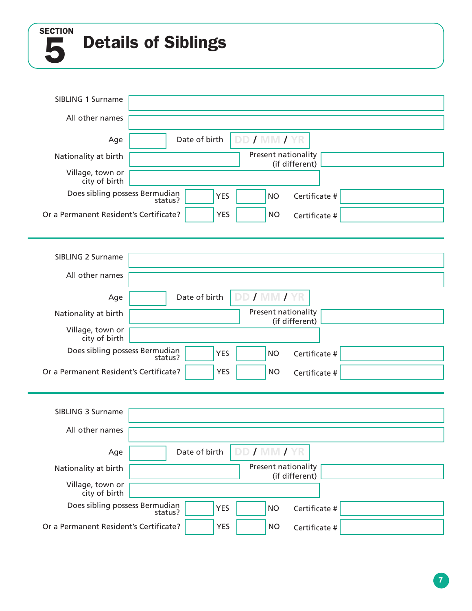5 SECTION

# Details of Siblings

| SIBLING 1 Surname                         |                                                     |
|-------------------------------------------|-----------------------------------------------------|
| All other names                           |                                                     |
| Age                                       | DD / MM / YR<br>Date of birth                       |
| Nationality at birth                      | Present nationality<br>(if different)               |
| Village, town or<br>city of birth         |                                                     |
| Does sibling possess Bermudian            | Certificate #<br><b>YES</b><br><b>NO</b><br>status? |
| Or a Permanent Resident's Certificate?    | <b>YES</b><br><b>NO</b><br>Certificate #            |
|                                           |                                                     |
| <b>SIBLING 2 Surname</b>                  |                                                     |
| All other names                           |                                                     |
| Age                                       | DD / MM /<br>Date of birth                          |
| Nationality at birth                      | Present nationality<br>(if different)               |
| Village, town or<br>city of birth         |                                                     |
| Does sibling possess Bermudian<br>?status | <b>YES</b><br><b>NO</b><br>Certificate #            |
| Or a Permanent Resident's Certificate?    | <b>YES</b><br><b>NO</b><br>Certificate #            |
|                                           |                                                     |
| SIBLING 3 Surname                         |                                                     |
| All other names                           |                                                     |
| Age                                       | DD / MM / YR<br>Date of birth                       |
| Nationality at birth                      | Present nationality<br>(if different)               |
| Village, town or<br>city of birth         |                                                     |
| Does sibling possess Bermudian            | <b>YES</b><br><b>NO</b><br>Certificate #<br>status? |
| Or a Permanent Resident's Certificate?    | <b>YES</b><br><b>NO</b><br>Certificate #            |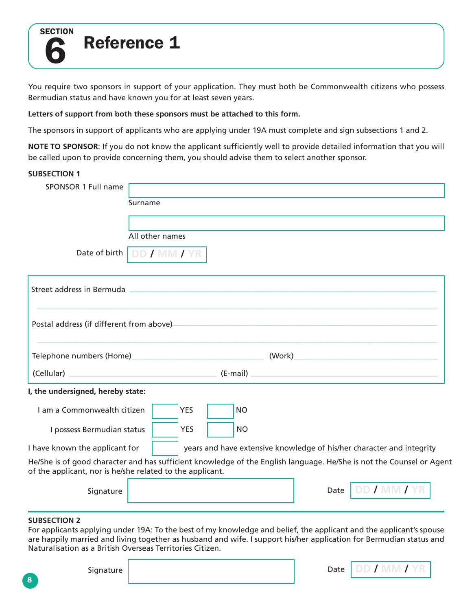

# Reference 1

You require two sponsors in support of your application. They must both be Commonwealth citizens who possess Bermudian status and have known you for at least seven years.

#### **Letters of support from both these sponsors must be attached to this form.**

The sponsors in support of applicants who are applying under 19A must complete and sign subsections 1 and 2.

**NOTE TO SPONSOR**: If you do not know the applicant sufficiently well to provide detailed information that you will be called upon to provide concerning them, you should advise them to select another sponsor.

#### **SUBSECTION 1**

| SPONSOR 1 Full name              |                            |
|----------------------------------|----------------------------|
|                                  | Surname                    |
|                                  |                            |
|                                  | All other names            |
|                                  | Date of birth DD / MM / YR |
| Changed and dance in Disasserial |                            |

| Street address in Bermuda                                                                                                                                                         |                                                                       |  |  |
|-----------------------------------------------------------------------------------------------------------------------------------------------------------------------------------|-----------------------------------------------------------------------|--|--|
| Postal address (if different from above)                                                                                                                                          |                                                                       |  |  |
| Telephone numbers (Home) and the control of the control of the control of the control of the control of the co                                                                    |                                                                       |  |  |
|                                                                                                                                                                                   |                                                                       |  |  |
| I, the undersigned, hereby state:                                                                                                                                                 |                                                                       |  |  |
| I am a Commonwealth citizen<br><b>YES</b><br><b>NO</b>                                                                                                                            |                                                                       |  |  |
| <b>YES</b><br><b>NO</b><br>I possess Bermudian status                                                                                                                             |                                                                       |  |  |
| I have known the applicant for                                                                                                                                                    | years and have extensive knowledge of his/her character and integrity |  |  |
| He/She is of good character and has sufficient knowledge of the English language. He/She is not the Counsel or Agent<br>of the applicant, nor is he/she related to the applicant. |                                                                       |  |  |
| Signature                                                                                                                                                                         | DD / MM / YR<br>Date                                                  |  |  |
|                                                                                                                                                                                   |                                                                       |  |  |

#### **SUBSECTION 2**

For applicants applying under 19A: To the best of my knowledge and belief, the applicant and the applicant's spouse are happily married and living together as husband and wife. I support his/her application for Bermudian status and Naturalisation as a British Overseas Territories Citizen.

| Signature | Date |  |
|-----------|------|--|
|           |      |  |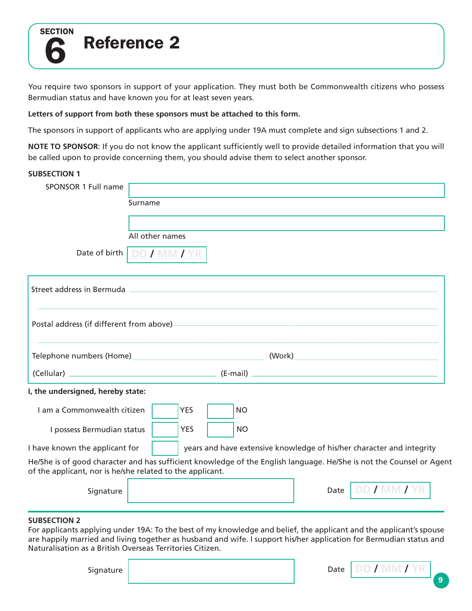

# Reference 2

You require two sponsors in support of your application. They must both be Commonwealth citizens who possess Bermudian status and have known you for at least seven years.

#### **Letters of support from both these sponsors must be attached to this form.**

The sponsors in support of applicants who are applying under 19A must complete and sign subsections 1 and 2.

**NOTE TO SPONSOR**: If you do not know the applicant sufficiently well to provide detailed information that you will be called upon to provide concerning them, you should advise them to select another sponsor.

#### **SUBSECTION 1**

| SPONSOR 1 Full name              |                            |
|----------------------------------|----------------------------|
|                                  | Surname                    |
|                                  |                            |
|                                  | All other names            |
|                                  | Date of birth DD / MM / YR |
| Changed and dance in Disasserial |                            |

| Street address in Bermuda                                                                                                                                                         |
|-----------------------------------------------------------------------------------------------------------------------------------------------------------------------------------|
| Postal address (if different from above)                                                                                                                                          |
| (Work)<br>Telephone numbers (Home)                                                                                                                                                |
| (Cellular)<br>(E-mail)                                                                                                                                                            |
| I, the undersigned, hereby state:                                                                                                                                                 |
| I am a Commonwealth citizen<br><b>YES</b><br>N <sub>O</sub>                                                                                                                       |
| I possess Bermudian status<br><b>YES</b><br>NO                                                                                                                                    |
| I have known the applicant for<br>years and have extensive knowledge of his/her character and integrity                                                                           |
| He/She is of good character and has sufficient knowledge of the English language. He/She is not the Counsel or Agent<br>of the applicant, nor is he/she related to the applicant. |
| Date<br>Signature                                                                                                                                                                 |
|                                                                                                                                                                                   |

#### **SUBSECTION 2**

For applicants applying under 19A: To the best of my knowledge and belief, the applicant and the applicant's spouse are happily married and living together as husband and wife. I support his/her application for Bermudian status and Naturalisation as a British Overseas Territories Citizen.

| Signature | Date |  |
|-----------|------|--|
|           |      |  |

9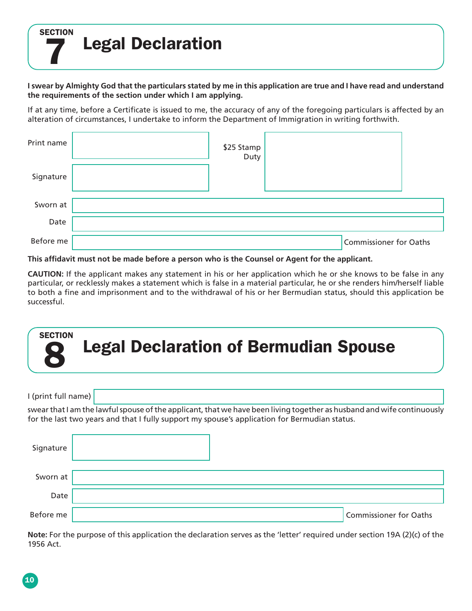**SECTION** Legal Declaration

7

**I swear by Almighty God that the particulars stated by me in this application are true and I have read and understand the requirements of the section under which I am applying.**

If at any time, before a Certificate is issued to me, the accuracy of any of the foregoing particulars is affected by an alteration of circumstances, I undertake to inform the Department of Immigration in writing forthwith.

| Print name | \$25 Stamp<br>Duty |                        |  |
|------------|--------------------|------------------------|--|
| Signature  |                    |                        |  |
| Sworn at   |                    |                        |  |
| Date       |                    |                        |  |
| Before me  |                    | Commissioner for Oaths |  |

**This affidavit must not be made before a person who is the Counsel or Agent for the applicant.**

**CAUTION:** If the applicant makes any statement in his or her application which he or she knows to be false in any particular, or recklessly makes a statement which is false in a material particular, he or she renders him/herself liable to both a fine and imprisonment and to the withdrawal of his or her Bermudian status, should this application be successful.



**Note:** For the purpose of this application the declaration serves as the 'letter' required under section 19A (2)(c) of the 1956 Act.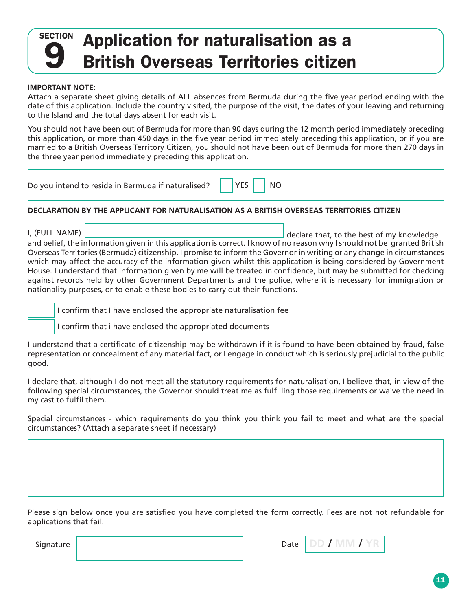# 9 **SECTION** Application for naturalisation as a British Overseas Territories citizen

#### **IMPORTANT NOTE:**

Attach a separate sheet giving details of ALL absences from Bermuda during the five year period ending with the date of this application. Include the country visited, the purpose of the visit, the dates of your leaving and returning to the Island and the total days absent for each visit.

You should not have been out of Bermuda for more than 90 days during the 12 month period immediately preceding this application, or more than 450 days in the five year period immediately preceding this application, or if you are married to a British Overseas Territory Citizen, you should not have been out of Bermuda for more than 270 days in the three year period immediately preceding this application.

| Do you intend to reside in Bermuda if naturalised? $\parallel$ | $\bigcap$ YES $\bigcap$ NO |  |
|----------------------------------------------------------------|----------------------------|--|
|----------------------------------------------------------------|----------------------------|--|

#### **DECLARATION BY THE APPLICANT FOR NATURALISATION AS A BRITISH OVERSEAS TERRITORIES CITIZEN**

I, (FULL NAME) and belief, the information given in this application is correct. I know of no reason why I should not be granted British Overseas Territories (Bermuda) citizenship. I promise to inform the Governor in writing or any change in circumstances which may affect the accuracy of the information given whilst this application is being considered by Government House. I understand that information given by me will be treated in confidence, but may be submitted for checking against records held by other Government Departments and the police, where it is necessary for immigration or nationality purposes, or to enable these bodies to carry out their functions. declare that, to the best of my knowledge

I confirm that I have enclosed the appropriate naturalisation fee

I confirm that i have enclosed the appropriated documents

I understand that a certificate of citizenship may be withdrawn if it is found to have been obtained by fraud, false representation or concealment of any material fact, or I engage in conduct which is seriously prejudicial to the public good.

I declare that, although I do not meet all the statutory requirements for naturalisation, I believe that, in view of the following special circumstances, the Governor should treat me as fulfilling those requirements or waive the need in my cast to fulfil them.

Special circumstances - which requirements do you think you think you fail to meet and what are the special circumstances? (Attach a separate sheet if necessary)

Please sign below once you are satisfied you have completed the form correctly. Fees are not not refundable for applications that fail.

**Signature** 

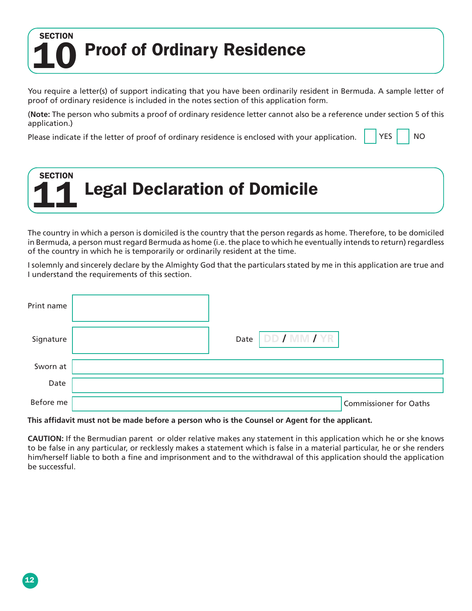## **.** Proof of Ordinary Residence 10 **SECTION**

You require a letter(s) of support indicating that you have been ordinarily resident in Bermuda. A sample letter of proof of ordinary residence is included in the notes section of this application form.

(**Note:** The person who submits a proof of ordinary residence letter cannot also be a reference under section 5 of this application.)

Please indicate if the letter of proof of ordinary residence is enclosed with your application.  $\begin{vmatrix} \n\end{vmatrix}$  YES  $\begin{vmatrix} \n\end{vmatrix}$  NO

| <b>SECTION</b> | 11 Legal Declaration of Domicile |  |
|----------------|----------------------------------|--|
|                |                                  |  |

The country in which a person is domiciled is the country that the person regards as home. Therefore, to be domiciled in Bermuda, a person must regard Bermuda as home (i.e. the place to which he eventually intends to return) regardless of the country in which he is temporarily or ordinarily resident at the time.

I solemnly and sincerely declare by the Almighty God that the particulars stated by me in this application are true and I understand the requirements of this section.

| Print name |                      |                        |
|------------|----------------------|------------------------|
| Signature  | DD / MM / YR<br>Date |                        |
| Sworn at   |                      |                        |
| Date       |                      |                        |
| Before me  |                      | Commissioner for Oaths |

#### **This affidavit must not be made before a person who is the Counsel or Agent for the applicant.**

**CAUTION:** If the Bermudian parent or older relative makes any statement in this application which he or she knows to be false in any particular, or recklessly makes a statement which is false in a material particular, he or she renders him/herself liable to both a fine and imprisonment and to the withdrawal of this application should the application be successful.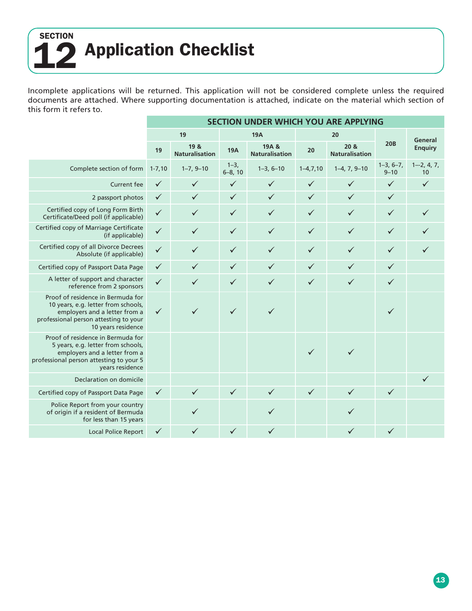## 12 **SECTION** Application Checklist

Incomplete applications will be returned. This application will not be considered complete unless the required documents are attached. Where supporting documentation is attached, indicate on the material which section of this form it refers to.

|                                                                                                                                                                          | SECTION UNDER WHICH YOU ARE APPLYING |                               |                           |                                |                |                               |                         |                      |
|--------------------------------------------------------------------------------------------------------------------------------------------------------------------------|--------------------------------------|-------------------------------|---------------------------|--------------------------------|----------------|-------------------------------|-------------------------|----------------------|
|                                                                                                                                                                          | 19<br><b>19A</b>                     |                               |                           |                                |                | 20                            |                         | General              |
|                                                                                                                                                                          | 19                                   | 19 &<br><b>Naturalisation</b> | <b>19A</b>                | 19A &<br><b>Naturalisation</b> | 20             | 20 &<br><b>Naturalisation</b> | <b>20B</b>              | <b>Enquiry</b>       |
| Complete section of form                                                                                                                                                 | $1 - 7,10$                           | $1-7, 9-10$                   | $1 - 3$ ,<br>$6 - 8$ , 10 | $1-3, 6-10$                    | $1 - 4, 7, 10$ | $1-4, 7, 9-10$                | $1-3, 6-7,$<br>$9 - 10$ | $1 - 2, 4, 7,$<br>10 |
| <b>Current fee</b>                                                                                                                                                       | $\checkmark$                         | $\checkmark$                  | $\checkmark$              | $\checkmark$                   | ✓              | ✓                             | $\checkmark$            | $\checkmark$         |
| 2 passport photos                                                                                                                                                        | $\checkmark$                         | $\checkmark$                  | $\checkmark$              | $\checkmark$                   | $\checkmark$   | $\checkmark$                  | $\checkmark$            |                      |
| Certified copy of Long Form Birth<br>Certificate/Deed poll (if applicable)                                                                                               | $\checkmark$                         | $\checkmark$                  | $\checkmark$              | $\checkmark$                   | $\checkmark$   | ✓                             | $\checkmark$            |                      |
| Certified copy of Marriage Certificate<br>(if applicable)                                                                                                                | $\checkmark$                         | $\checkmark$                  | $\checkmark$              | $\checkmark$                   | $\checkmark$   | $\checkmark$                  | $\checkmark$            |                      |
| Certified copy of all Divorce Decrees<br>Absolute (if applicable)                                                                                                        | $\checkmark$                         | $\checkmark$                  | $\checkmark$              | $\checkmark$                   | $\checkmark$   | $\checkmark$                  | $\checkmark$            |                      |
| Certified copy of Passport Data Page                                                                                                                                     | $\checkmark$                         | $\checkmark$                  | $\checkmark$              | $\checkmark$                   | $\checkmark$   | ✓                             | $\checkmark$            |                      |
| A letter of support and character<br>reference from 2 sponsors                                                                                                           | $\checkmark$                         | $\checkmark$                  | $\checkmark$              | $\checkmark$                   | $\checkmark$   | $\checkmark$                  | $\checkmark$            |                      |
| Proof of residence in Bermuda for<br>10 years, e.g. letter from schools,<br>employers and a letter from a<br>professional person attesting to your<br>10 years residence | $\checkmark$                         | $\checkmark$                  | $\checkmark$              | $\checkmark$                   |                |                               | $\checkmark$            |                      |
| Proof of residence in Bermuda for<br>5 years, e.g. letter from schools,<br>employers and a letter from a<br>professional person attesting to your 5<br>vears residence   |                                      |                               |                           |                                | $\checkmark$   | $\checkmark$                  |                         |                      |
| Declaration on domicile                                                                                                                                                  |                                      |                               |                           |                                |                |                               |                         | $\checkmark$         |
| Certified copy of Passport Data Page                                                                                                                                     | $\checkmark$                         | $\checkmark$                  | $\checkmark$              | $\checkmark$                   | $\checkmark$   | $\checkmark$                  | $\checkmark$            |                      |
| Police Report from your country<br>of origin if a resident of Bermuda<br>for less than 15 years                                                                          |                                      |                               |                           | ✓                              |                |                               |                         |                      |
| <b>Local Police Report</b>                                                                                                                                               | $\checkmark$                         |                               | ✓                         |                                |                |                               | ✓                       |                      |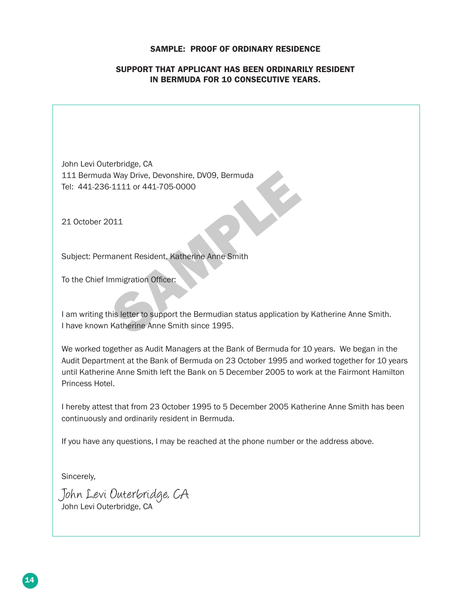#### SAMPLE: PROOF OF ORDINARY RESIDENCE

#### SUPPORT THAT APPLICANT HAS BEEN ORDINARILY RESIDENT IN BERMUDA FOR 10 CONSECUTIVE YEARS.

John Levi Outerbridge, CA 111 Bermuda Way Drive, Devonshire, DV09, Bermuda Tel: 441-236-1111 or 441-705-0000

21 October 2011

Subject: Permanent Resident, Katherine Anne Smith

To the Chief Immigration Officer:

a Way Drive, Devonshire, DV09, Bermuda<br>
S-1111 or 441-705-0000<br>
011<br>
nanent Resident, Katherine Anne Smith<br>
mmigration Officer:<br>
his letter to support the Bermudian status application I<br>
Katherine Anne Smith since 1995. I am writing this letter to support the Bermudian status application by Katherine Anne Smith. I have known Katherine Anne Smith since 1995.

We worked together as Audit Managers at the Bank of Bermuda for 10 years. We began in the Audit Department at the Bank of Bermuda on 23 October 1995 and worked together for 10 years until Katherine Anne Smith left the Bank on 5 December 2005 to work at the Fairmont Hamilton Princess Hotel.

I hereby attest that from 23 October 1995 to 5 December 2005 Katherine Anne Smith has been continuously and ordinarily resident in Bermuda.

If you have any questions, I may be reached at the phone number or the address above.

Sincerely,

John Levi Outerbridge, CA John Levi Outerbridge, CA